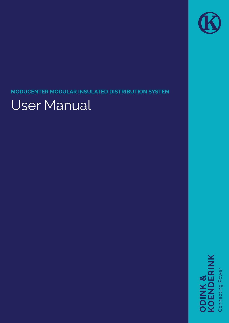## **MODUCENTER MODULAR INSULATED DISTRIBUTION SYSTEM**

# User Manual

**ODINK &<br>KOENDERINK** 

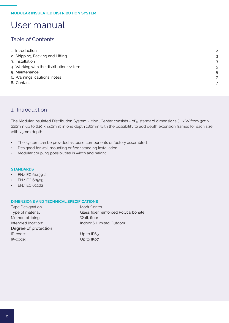## Table of Contents

| 1. Introduction                         | $\mathcal{P}$ |
|-----------------------------------------|---------------|
| 2. Shipping, Packing and Lifting        | 3             |
| 3. Installation                         | 3             |
| 4. Working with the distribution system | 5             |
| 5. Maintenance                          | 5             |
| 6. Warnings, cautions, notes            | 7             |
| 8. Contact                              | 7             |
|                                         |               |

## 1. Introduction

The Modular Insulated Distribution System - ModuCenter consists - of 5 standard dimensions (H x W from 320 x 220mm up to 640 x 440mm) in one depth 180mm with the possibility to add depth extension frames for each size with 75mm depth.

- The system can be provided as loose components or factory assembled.
- Designed for wall mounting or floor standing installation.
- Modular coupling possibilities in width and height.

#### **STANDARDS**

- EN/IEC 61439-2
- EN/IEC 60529
- EN/IEC 62262

#### **DIMENSIONS AND TECHNICAL SPECIFICATIONS**

| <b>Type Designation:</b> | ModuCenter                           |
|--------------------------|--------------------------------------|
| Type of material:        | Glass fiber reinforced Polycarbonate |
| Method of fixing:        | Wall, floor                          |
| Intended location:       | Indoor & Limited Outdoor             |
| Degree of protection     |                                      |
| IP-code:                 | Up to IP65                           |
| IK-code:                 | Up to IK07                           |
|                          |                                      |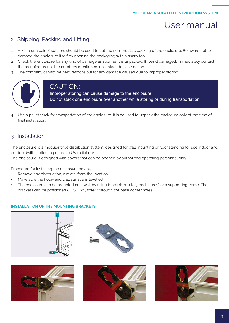

## <span id="page-2-0"></span>2. Shipping, Packing and Lifting

- 1. A knife or a pair of scissors should be used to cut the non-metallic packing of the enclosure. Be aware not to damage the enclosure itself by opening the packaging with a sharp tool.
- 2. Check the enclosure for any kind of damage as soon as it is unpacked. If found damaged, immediately contact the manufacturer at the numbers mentioned in 'contact details' section.
- 3. The company cannot be held responsible for any damage caused due to improper storing.



## CAUTION:

Improper storing can cause damage to the enclosure. Do not stack one enclosure over another while storing or during transportation.

4. Use a pallet truck for transportation of the enclosure. It is advised to unpack the enclosure only at the time of final installation.

## 3. Installation

The enclosure is a modular type distribution system, designed for wall mounting or floor standing for use indoor and outdoor (with limited exposure to UV radiation).

The enclosure is designed with covers that can be opened by authorized operating personnel only.

Procedure for installing the enclosure on a wall:

- Remove any obstruction, dirt etc. from the location.
- Make sure the floor- and wall surface is levelled
- The enclosure can be mounted on a wall by using brackets (up to 5 enclosures) or a supporting frame. The brackets can be positioned 0°, 45°, 90°, screw through the base corner holes.

#### **INSTALLATION OF THE MOUNTING BRACKETS**







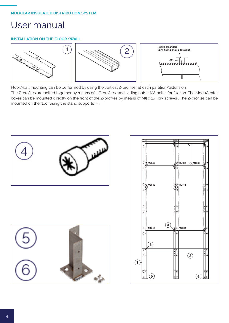#### **INSTALLATION ON THE FLOOR/WALL**



Floor/wall mounting can be performed by using the vertical Z-profiles at each partition/extension.

The Z-profiles are bolted together by means of 2 C-profiles and sliding nuts + M8 bolts for fixation. The ModuCenter boxes can be mounted directly on the front of the Z-profiles by means of M5 x 16 Torx screws . The Z-profiles can be mounted on the floor using the stand supports + .





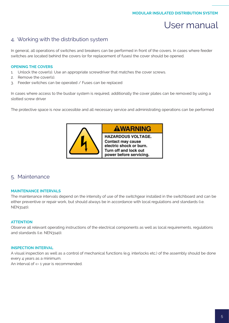### <span id="page-4-0"></span>4. Working with the distribution system

In general, all operations of switches and breakers can be performed in front of the covers. In cases where feeder switches are located behind the covers (or for replacement of fuses) the cover should be opened.

#### **OPENING THE COVERS**

- 1. Unlock the cover(s). Use an appropriate screwdriver that matches the cover screws.
- 2. Remove the cover(s).
- 3. Feeder switches can be operated / Fuses can be replaced

In cases where access to the busbar system is required, additionally the cover plates can be removed by using a slotted screw driver

The protective space is now accessible and all necessary service and administrating operations can be performed



### 5. Maintenance

#### **MAINTENANCE INTERVALS**

The maintenance intervals depend on the intensity of use of the switchgear installed in the switchboard and can be either preventive or repair work, but should always be in accordance with local regulations and standards (i.e. NEN3140).

#### **ATTENTION**

Observe all relevant operating instructions of the electrical components as well as local requirements, regulations and standards (i.e. NEN3140).

#### **INSPECTION INTERVAL**

A visual inspection as well as a control of mechanical functions (e.g. interlocks etc.) of the assembly should be done every 4 years as a minimum. An interval of <= 1 year is recommended.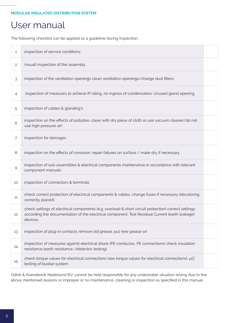The following checklist can be applied as a guideline during inspection.

| $\mathbf{1}$        | inspection of service conditions                                                                                                                                                                                  |  |
|---------------------|-------------------------------------------------------------------------------------------------------------------------------------------------------------------------------------------------------------------|--|
| $\mathsf{S}$        | (visual) inspection of the assembly                                                                                                                                                                               |  |
| 3                   | inspection of the ventilation openings clean ventilation openings/change dust filters                                                                                                                             |  |
| 4                   | inspection of measures to achieve IP rating, no ingress of condensation. Unused gland opening                                                                                                                     |  |
| 5                   | inspection of cables & glanding's                                                                                                                                                                                 |  |
| 6                   | inspection on the effects of pollution, clean with dry piece of cloth or use vacuum cleaner/do not<br>use high pressure air!                                                                                      |  |
| $\overline{7}$      | inspection for damages                                                                                                                                                                                            |  |
| 8                   | inspection on the effects of corrosion, repair failures on surface / make dry if necessary                                                                                                                        |  |
| $\mathcal{G}% _{0}$ | inspection of sub-assemblies & electrical components maintenance in accordance with relevant<br>component manuals                                                                                                 |  |
| 10                  | inspection of connectors & terminals                                                                                                                                                                              |  |
| 11                  | check correct protection of electrical components & cables, change fuses if necessary (decoloring,<br>correctly placed)                                                                                           |  |
| 12                  | check settings of electrical components (e.g. overload & short circuit protection) correct settings<br>according the documentation of the electrical component. Test Residual Current (earth leakage)<br>devices. |  |
| 13                  | inspection of plug-in contacts remove old grease, put new grease on                                                                                                                                               |  |
| 14                  | inspection of measures against electrical shock (PE conductor, PE connections) check insulation<br>resistance (earth resistance /dielectric testing).                                                             |  |
| 15                  | check torque values for electrical connections (see torque values for electrical connections), $\mu\Omega$<br>testing of busbar system                                                                            |  |

Odink & Koenderink Nederland B.V. cannot be held responsible for any undesirable situation arising due to the above mentioned reasons or improper or no maintenance, cleaning or inspection as specified in this manual.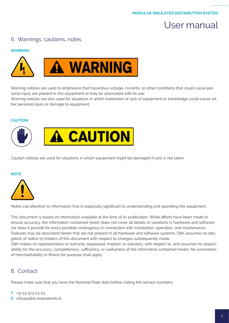### <span id="page-6-0"></span>6. Warnings, cautions, notes

#### **WARNING**



Warning notices are used to emphasize that hazardous voltage, currents, or other conditions that could cause personal injury are present in this equipment or may be associated with its use.

Warning notices are also used for situations in which inattention or lack of equipment or knowledge could cause either personal injury or damage to equipment.

#### **CAUTION**



Caution notices are used for situations in which equipment might be damaged if care is not taken.

#### **NOTE**



Notes call attention to information that is especially significant to understanding and operating the equipment.

This document is based on information available at the time of its publication. While efforts have been made to ensure accuracy, the information contained herein does not cover all details or variations in hardware and software, nor does it provide for every possible contingency in connection with installation, operation, and maintenance. Features may be described herein that are not present in all hardware and software systems. O&K assumes no obligation of notice to holders of this document with respect to changes subsequently made. O&K makes no representation or warranty, expressed, implied, or statutory, with respect to, and assumes no responsibility for the accuracy, completeness, sufficiency, or usefulness of the information contained herein. No warrantees of merchantability or fitness for purpose shall apply.

### 8. Contact

Please make sure that you have the Nominal Plate data before calling the service numbers:

#### **T** +31 53 573 03 03

**E** info@odink-koenderink.nl